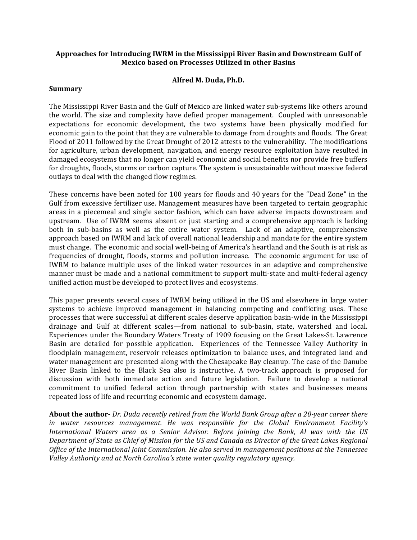### Approaches for Introducing IWRM in the Mississippi River Basin and Downstream Gulf of **Mexico based on Processes Utilized in other Basins**

#### Alfred M. Duda. Ph.D.

#### **Summary**

The Mississippi River Basin and the Gulf of Mexico are linked water sub-systems like others around the world. The size and complexity have defied proper management. Coupled with unreasonable expectations for economic development, the two systems have been physically modified for economic gain to the point that they are vulnerable to damage from droughts and floods. The Great Flood of 2011 followed by the Great Drought of 2012 attests to the vulnerability. The modifications for agriculture, urban development, navigation, and energy resource exploitation have resulted in damaged ecosystems that no longer can yield economic and social benefits nor provide free buffers for droughts, floods, storms or carbon capture. The system is unsustainable without massive federal outlays to deal with the changed flow regimes.

These concerns have been noted for 100 years for floods and 40 years for the "Dead Zone" in the Gulf from excessive fertilizer use. Management measures have been targeted to certain geographic areas in a piecemeal and single sector fashion, which can have adverse impacts downstream and upstream. Use of IWRM seems absent or just starting and a comprehensive approach is lacking both in sub-basins as well as the entire water system. Lack of an adaptive, comprehensive approach based on IWRM and lack of overall national leadership and mandate for the entire system must change. The economic and social well-being of America's heartland and the South is at risk as frequencies of drought, floods, storms and pollution increase. The economic argument for use of IWRM to balance multiple uses of the linked water resources in an adaptive and comprehensive manner must be made and a national commitment to support multi-state and multi-federal agency unified action must be developed to protect lives and ecosystems.

This paper presents several cases of IWRM being utilized in the US and elsewhere in large water systems to achieve improved management in balancing competing and conflicting uses. These processes that were successful at different scales deserve application basin-wide in the Mississippi drainage and Gulf at different scales-from national to sub-basin, state, watershed and local. Experiences under the Boundary Waters Treaty of 1909 focusing on the Great Lakes-St. Lawrence Basin are detailed for possible application. Experiences of the Tennessee Valley Authority in floodplain management, reservoir releases optimization to balance uses, and integrated land and water management are presented along with the Chesapeake Bay cleanup. The case of the Danube River Basin linked to the Black Sea also is instructive. A two-track approach is proposed for discussion with both immediate action and future legislation. Failure to develop a national commitment to unified federal action through partnership with states and businesses means repeated loss of life and recurring economic and ecosystem damage.

**About the author-** Dr. Duda recently retired from the World Bank Group after a 20-year career there in water resources management. He was responsible for the Global Environment Facility's International Waters area as a Senior Advisor. Before joining the Bank, Al was with the US Department of State as Chief of Mission for the US and Canada as Director of the Great Lakes Regional Office of the International Joint Commission. He also served in management positions at the Tennessee Valley Authority and at North Carolina's state water quality regulatory agency.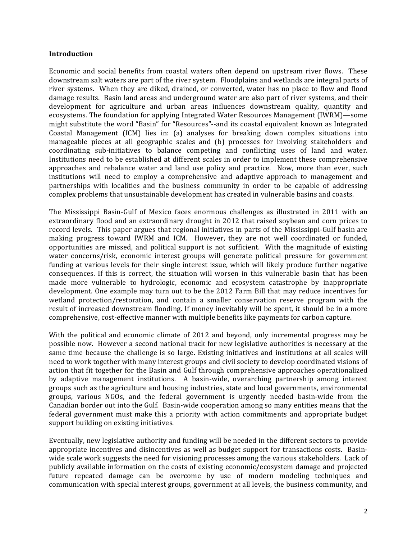#### **Introduction**

Economic and social benefits from coastal waters often depend on upstream river flows. These downstream salt waters are part of the river system. Floodplains and wetlands are integral parts of river systems. When they are diked, drained, or converted, water has no place to flow and flood damage results. Basin land areas and underground water are also part of river systems, and their development for agriculture and urban areas influences downstream quality, quantity and ecosystems. The foundation for applying Integrated Water Resources Management (IWRM)—some might substitute the word "Basin" for "Resources"--and its coastal equivalent known as Integrated Coastal Management  $(ICM)$  lies in: (a) analyses for breaking down complex situations into manageable pieces at all geographic scales and (b) processes for involving stakeholders and coordinating sub-initiatives to balance competing and conflicting uses of land and water. Institutions need to be established at different scales in order to implement these comprehensive approaches and rebalance water and land use policy and practice. Now, more than ever, such institutions will need to employ a comprehensive and adaptive approach to management and partnerships with localities and the business community in order to be capable of addressing complex problems that unsustainable development has created in vulnerable basins and coasts.

The Mississippi Basin-Gulf of Mexico faces enormous challenges as illustrated in 2011 with an extraordinary flood and an extraordinary drought in 2012 that raised soybean and corn prices to record levels. This paper argues that regional initiatives in parts of the Mississippi-Gulf basin are making progress toward IWRM and ICM. However, they are not well coordinated or funded, opportunities are missed, and political support is not sufficient. With the magnitude of existing water concerns/risk, economic interest groups will generate political pressure for government funding at various levels for their single interest issue, which will likely produce further negative consequences. If this is correct, the situation will worsen in this vulnerable basin that has been made more vulnerable to hydrologic, economic and ecosystem catastrophe by inappropriate development. One example may turn out to be the 2012 Farm Bill that may reduce incentives for wetland protection/restoration, and contain a smaller conservation reserve program with the result of increased downstream flooding. If money inevitably will be spent, it should be in a more comprehensive, cost-effective manner with multiple benefits like payments for carbon capture.

With the political and economic climate of 2012 and beyond, only incremental progress may be possible now. However a second national track for new legislative authorities is necessary at the same time because the challenge is so large. Existing initiatives and institutions at all scales will need to work together with many interest groups and civil society to develop coordinated visions of action that fit together for the Basin and Gulf through comprehensive approaches operationalized by adaptive management institutions. A basin-wide, overarching partnership among interest groups such as the agriculture and housing industries, state and local governments, environmental groups, various NGOs, and the federal government is urgently needed basin-wide from the Canadian border out into the Gulf. Basin-wide cooperation among so many entities means that the federal government must make this a priority with action commitments and appropriate budget support building on existing initiatives.

Eventually, new legislative authority and funding will be needed in the different sectors to provide appropriate incentives and disincentives as well as budget support for transactions costs. Basinwide scale work suggests the need for visioning processes among the various stakeholders. Lack of publicly available information on the costs of existing economic/ecosystem damage and projected future repeated damage can be overcome by use of modern modeling techniques and communication with special interest groups, government at all levels, the business community, and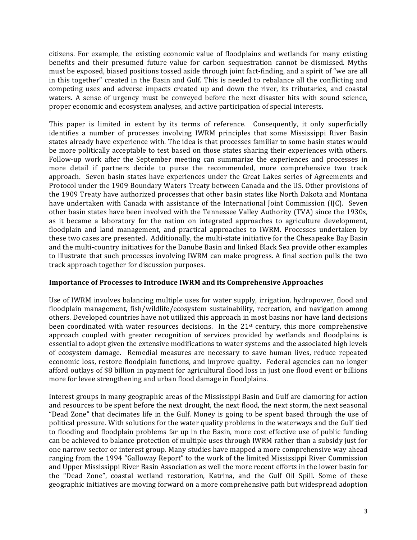citizens. For example, the existing economic value of floodplains and wetlands for many existing benefits and their presumed future value for carbon sequestration cannot be dismissed. Myths must be exposed, biased positions tossed aside through joint fact-finding, and a spirit of "we are all in this together" created in the Basin and Gulf. This is needed to rebalance all the conflicting and competing uses and adverse impacts created up and down the river, its tributaries, and coastal waters. A sense of urgency must be conveyed before the next disaster hits with sound science, proper economic and ecosystem analyses, and active participation of special interests.

This paper is limited in extent by its terms of reference. Consequently, it only superficially identifies a number of processes involving IWRM principles that some Mississippi River Basin states already have experience with. The idea is that processes familiar to some basin states would be more politically acceptable to test based on those states sharing their experiences with others. Follow-up work after the September meeting can summarize the experiences and processes in more detail if partners decide to purse the recommended, more comprehensive two track approach. Seven basin states have experiences under the Great Lakes series of Agreements and Protocol under the 1909 Boundary Waters Treaty between Canada and the US. Other provisions of the 1909 Treaty have authorized processes that other basin states like North Dakota and Montana have undertaken with Canada with assistance of the International Joint Commission (IJC). Seven other basin states have been involved with the Tennessee Valley Authority (TVA) since the 1930s. as it became a laboratory for the nation on integrated approaches to agriculture development, floodplain and land management, and practical approaches to IWRM. Processes undertaken by these two cases are presented. Additionally, the multi-state initiative for the Chesapeake Bay Basin and the multi-country initiatives for the Danube Basin and linked Black Sea provide other examples to illustrate that such processes involving IWRM can make progress. A final section pulls the two track approach together for discussion purposes.

### **Importance of Processes to Introduce IWRM and its Comprehensive Approaches**

Use of IWRM involves balancing multiple uses for water supply, irrigation, hydropower, flood and floodplain management, fish/wildlife/ecosystem sustainability, recreation, and navigation among others. Developed countries have not utilized this approach in most basins nor have land decisions been coordinated with water resources decisions. In the 21<sup>st</sup> century, this more comprehensive approach coupled with greater recognition of services provided by wetlands and floodplains is essential to adopt given the extensive modifications to water systems and the associated high levels of ecosystem damage. Remedial measures are necessary to save human lives, reduce repeated economic loss, restore floodplain functions, and improve quality. Federal agencies can no longer afford outlays of \$8 billion in payment for agricultural flood loss in just one flood event or billions more for levee strengthening and urban flood damage in floodplains.

Interest groups in many geographic areas of the Mississippi Basin and Gulf are clamoring for action and resources to be spent before the next drought, the next flood, the next storm, the next seasonal "Dead Zone" that decimates life in the Gulf. Money is going to be spent based through the use of political pressure. With solutions for the water quality problems in the waterways and the Gulf tied to flooding and floodplain problems far up in the Basin, more cost effective use of public funding can be achieved to balance protection of multiple uses through IWRM rather than a subsidy just for one narrow sector or interest group. Many studies have mapped a more comprehensive way ahead ranging from the 1994 "Galloway Report" to the work of the limited Mississippi River Commission and Upper Mississippi River Basin Association as well the more recent efforts in the lower basin for the "Dead Zone", coastal wetland restoration, Katrina, and the Gulf Oil Spill. Some of these geographic initiatives are moving forward on a more comprehensive path but widespread adoption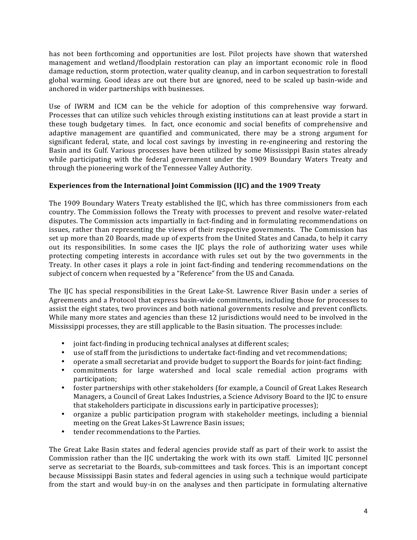has not been forthcoming and opportunities are lost. Pilot projects have shown that watershed management and wetland/floodplain restoration can play an important economic role in flood damage reduction, storm protection, water quality cleanup, and in carbon sequestration to forestall global warming. Good ideas are out there but are ignored, need to be scaled up basin-wide and anchored in wider partnerships with businesses.

Use of IWRM and ICM can be the vehicle for adoption of this comprehensive way forward. Processes that can utilize such vehicles through existing institutions can at least provide a start in these tough budgetary times. In fact, once economic and social benefits of comprehensive and adaptive management are quantified and communicated, there may be a strong argument for significant federal, state, and local cost savings by investing in re-engineering and restoring the Basin and its Gulf. Various processes have been utilized by some Mississippi Basin states already while participating with the federal government under the 1909 Boundary Waters Treaty and through the pioneering work of the Tennessee Valley Authority.

## Experiences from the International Joint Commission (IJC) and the 1909 Treaty

The 1909 Boundary Waters Treaty established the IJC, which has three commissioners from each country. The Commission follows the Treaty with processes to prevent and resolve water-related disputes. The Commission acts impartially in fact-finding and in formulating recommendations on issues, rather than representing the views of their respective governments. The Commission has set up more than 20 Boards, made up of experts from the United States and Canada, to help it carry out its responsibilities. In some cases the IJC plays the role of authorizing water uses while protecting competing interests in accordance with rules set out by the two governments in the Treaty. In other cases it plays a role in joint fact-finding and tendering recommendations on the subject of concern when requested by a "Reference" from the US and Canada.

The IJC has special responsibilities in the Great Lake-St. Lawrence River Basin under a series of Agreements and a Protocol that express basin-wide commitments, including those for processes to assist the eight states, two provinces and both national governments resolve and prevent conflicts. While many more states and agencies than these 12 jurisdictions would need to be involved in the Mississippi processes, they are still applicable to the Basin situation. The processes include:

- joint fact-finding in producing technical analyses at different scales;
- use of staff from the jurisdictions to undertake fact-finding and vet recommendations;
- operate a small secretariat and provide budget to support the Boards for joint-fact finding;
- commitments for large watershed and local scale remedial action programs with participation;
- foster partnerships with other stakeholders (for example, a Council of Great Lakes Research Managers, a Council of Great Lakes Industries, a Science Advisory Board to the IJC to ensure that stakeholders participate in discussions early in participative processes);
- organize a public participation program with stakeholder meetings, including a biennial meeting on the Great Lakes-St Lawrence Basin issues;
- tender recommendations to the Parties.

The Great Lake Basin states and federal agencies provide staff as part of their work to assist the Commission rather than the IJC undertaking the work with its own staff. Limited IJC personnel serve as secretariat to the Boards, sub-committees and task forces. This is an important concept because Mississippi Basin states and federal agencies in using such a technique would participate from the start and would buy-in on the analyses and then participate in formulating alternative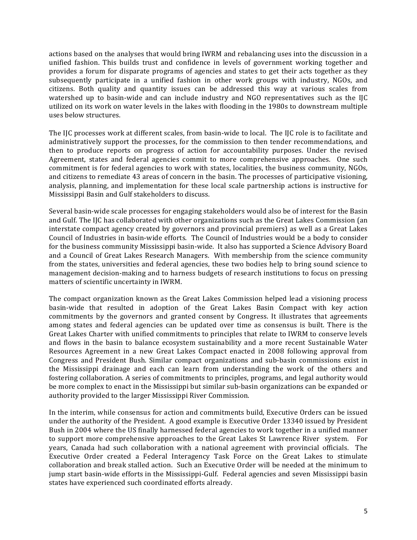actions based on the analyses that would bring IWRM and rebalancing uses into the discussion in a unified fashion. This builds trust and confidence in levels of government working together and provides a forum for disparate programs of agencies and states to get their acts together as they subsequently participate in a unified fashion in other work groups with industry, NGOs, and citizens. Both quality and quantity issues can be addressed this way at various scales from watershed up to basin-wide and can include industry and NGO representatives such as the IJC utilized on its work on water levels in the lakes with flooding in the 1980s to downstream multiple uses below structures.

The IJC processes work at different scales, from basin-wide to local. The IJC role is to facilitate and administratively support the processes, for the commission to then tender recommendations, and then to produce reports on progress of action for accountability purposes. Under the revised Agreement, states and federal agencies commit to more comprehensive approaches. One such commitment is for federal agencies to work with states, localities, the business community, NGOs, and citizens to remediate 43 areas of concern in the basin. The processes of participative visioning, analysis, planning, and implementation for these local scale partnership actions is instructive for Mississippi Basin and Gulf stakeholders to discuss.

Several basin-wide scale processes for engaging stakeholders would also be of interest for the Basin and Gulf. The IJC has collaborated with other organizations such as the Great Lakes Commission (an interstate compact agency created by governors and provincial premiers) as well as a Great Lakes Council of Industries in basin-wide efforts. The Council of Industries would be a body to consider for the business community Mississippi basin-wide. It also has supported a Science Advisory Board and a Council of Great Lakes Research Managers. With membership from the science community from the states, universities and federal agencies, these two bodies help to bring sound science to management decision-making and to harness budgets of research institutions to focus on pressing matters of scientific uncertainty in IWRM.

The compact organization known as the Great Lakes Commission helped lead a visioning process basin-wide that resulted in adoption of the Great Lakes Basin Compact with key action commitments by the governors and granted consent by Congress. It illustrates that agreements among states and federal agencies can be updated over time as consensus is built. There is the Great Lakes Charter with unified commitments to principles that relate to IWRM to conserve levels and flows in the basin to balance ecosystem sustainability and a more recent Sustainable Water Resources Agreement in a new Great Lakes Compact enacted in 2008 following approval from Congress and President Bush. Similar compact organizations and sub-basin commissions exist in the Mississippi drainage and each can learn from understanding the work of the others and fostering collaboration. A series of commitments to principles, programs, and legal authority would be more complex to enact in the Mississippi but similar sub-basin organizations can be expanded or authority provided to the larger Mississippi River Commission.

In the interim, while consensus for action and commitments build, Executive Orders can be issued under the authority of the President. A good example is Executive Order 13340 issued by President Bush in 2004 where the US finally harnessed federal agencies to work together in a unified manner to support more comprehensive approaches to the Great Lakes St Lawrence River system. For years, Canada had such collaboration with a national agreement with provincial officials. The Executive Order created a Federal Interagency Task Force on the Great Lakes to stimulate collaboration and break stalled action. Such an Executive Order will be needed at the minimum to jump start basin-wide efforts in the Mississippi-Gulf. Federal agencies and seven Mississippi basin states have experienced such coordinated efforts already.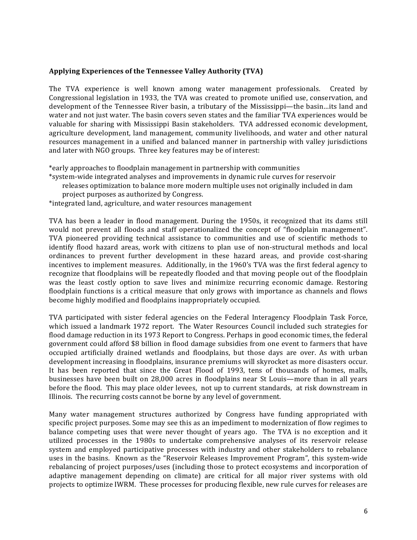## Applying Experiences of the Tennessee Valley Authority (TVA)

The TVA experience is well known among water management professionals. Created by Congressional legislation in 1933, the TVA was created to promote unified use, conservation, and development of the Tennessee River basin, a tributary of the Mississippi—the basin…its land and water and not just water. The basin covers seven states and the familiar TVA experiences would be valuable for sharing with Mississippi Basin stakeholders. TVA addressed economic development, agriculture development, land management, community livelihoods, and water and other natural resources management in a unified and balanced manner in partnership with valley jurisdictions and later with NGO groups. Three key features may be of interest:

\*early approaches to floodplain management in partnership with communities

- \*system-wide integrated analyses and improvements in dynamic rule curves for reservoir
	- $s$ releases optimization to balance more modern multiple uses not originally included in dam project purposes as authorized by Congress.
- \*integrated land, agriculture, and water resources management

TVA has been a leader in flood management. During the 1950s, it recognized that its dams still would not prevent all floods and staff operationalized the concept of "floodplain management". TVA pioneered providing technical assistance to communities and use of scientific methods to identify flood hazard areas, work with citizens to plan use of non-structural methods and local ordinances to prevent further development in these hazard areas, and provide cost-sharing incentives to implement measures. Additionally, in the 1960's TVA was the first federal agency to recognize that floodplains will be repeatedly flooded and that moving people out of the floodplain was the least costly option to save lives and minimize recurring economic damage. Restoring floodplain functions is a critical measure that only grows with importance as channels and flows become highly modified and floodplains inappropriately occupied.

TVA participated with sister federal agencies on the Federal Interagency Floodplain Task Force, which issued a landmark 1972 report. The Water Resources Council included such strategies for flood damage reduction in its 1973 Report to Congress. Perhaps in good economic times, the federal government could afford \$8 billion in flood damage subsidies from one event to farmers that have occupied artificially drained wetlands and floodplains, but those days are over. As with urban development increasing in floodplains, insurance premiums will skyrocket as more disasters occur. It has been reported that since the Great Flood of 1993, tens of thousands of homes, malls, businesses have been built on 28,000 acres in floodplains near St Louis—more than in all years before the flood. This may place older levees, not up to current standards, at risk downstream in Illinois. The recurring costs cannot be borne by any level of government.

Many water management structures authorized by Congress have funding appropriated with specific project purposes. Some may see this as an impediment to modernization of flow regimes to balance competing uses that were never thought of years ago. The TVA is no exception and it utilized processes in the 1980s to undertake comprehensive analyses of its reservoir release system and employed participative processes with industry and other stakeholders to rebalance uses in the basins. Known as the "Reservoir Releases Improvement Program", this system-wide rebalancing of project purposes/uses (including those to protect ecosystems and incorporation of adaptive management depending on climate) are critical for all major river systems with old projects to optimize IWRM. These processes for producing flexible, new rule curves for releases are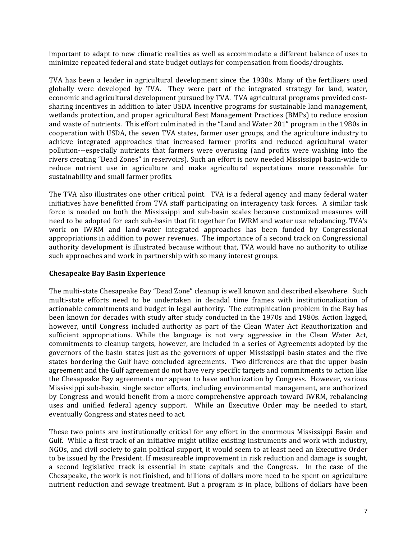important to adapt to new climatic realities as well as accommodate a different balance of uses to minimize repeated federal and state budget outlays for compensation from floods/droughts.

TVA has been a leader in agricultural development since the 1930s. Many of the fertilizers used globally were developed by TVA. They were part of the integrated strategy for land, water, economic and agricultural development pursued by TVA. TVA agricultural programs provided costsharing incentives in addition to later USDA incentive programs for sustainable land management, wetlands protection, and proper agricultural Best Management Practices (BMPs) to reduce erosion and waste of nutrients. This effort culminated in the "Land and Water 201" program in the 1980s in cooperation with USDA, the seven TVA states, farmer user groups, and the agriculture industry to achieve integrated approaches that increased farmer profits and reduced agricultural water pollution---especially nutrients that farmers were overusing (and profits were washing into the rivers creating "Dead Zones" in reservoirs). Such an effort is now needed Mississippi basin-wide to reduce nutrient use in agriculture and make agricultural expectations more reasonable for sustainability and small farmer profits.

The TVA also illustrates one other critical point. TVA is a federal agency and many federal water initiatives have benefitted from TVA staff participating on interagency task forces. A similar task force is needed on both the Mississippi and sub-basin scales because customized measures will need to be adopted for each sub-basin that fit together for IWRM and water use rebalancing. TVA's work on IWRM and land-water integrated approaches has been funded by Congressional appropriations in addition to power revenues. The importance of a second track on Congressional authority development is illustrated because without that, TVA would have no authority to utilize such approaches and work in partnership with so many interest groups.

## **Chesapeake Bay Basin Experience**

The multi-state Chesapeake Bay "Dead Zone" cleanup is well known and described elsewhere. Such multi-state efforts need to be undertaken in decadal time frames with institutionalization of actionable commitments and budget in legal authority. The eutrophication problem in the Bay has been known for decades with study after study conducted in the 1970s and 1980s. Action lagged, however, until Congress included authority as part of the Clean Water Act Reauthorization and sufficient appropriations. While the language is not very aggressive in the Clean Water Act, commitments to cleanup targets, however, are included in a series of Agreements adopted by the governors of the basin states just as the governors of upper Mississippi basin states and the five states bordering the Gulf have concluded agreements. Two differences are that the upper basin agreement and the Gulf agreement do not have very specific targets and commitments to action like the Chesapeake Bay agreements nor appear to have authorization by Congress. However, various Mississippi sub-basin, single sector efforts, including environmental management, are authorized by Congress and would benefit from a more comprehensive approach toward IWRM, rebalancing uses and unified federal agency support. While an Executive Order may be needed to start, eventually Congress and states need to act.

These two points are institutionally critical for any effort in the enormous Mississippi Basin and Gulf. While a first track of an initiative might utilize existing instruments and work with industry, NGOs, and civil society to gain political support, it would seem to at least need an Executive Order to be issued by the President. If measureable improvement in risk reduction and damage is sought, a second legislative track is essential in state capitals and the Congress. In the case of the Chesapeake, the work is not finished, and billions of dollars more need to be spent on agriculture nutrient reduction and sewage treatment. But a program is in place, billions of dollars have been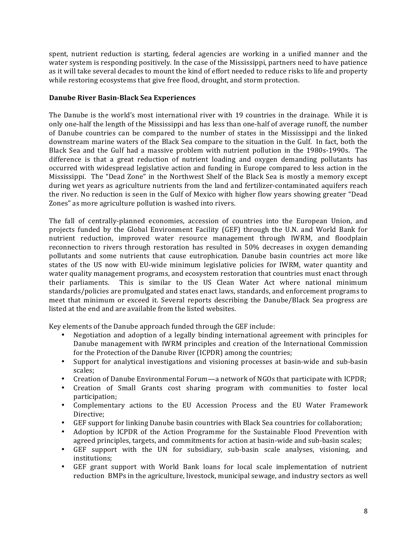spent, nutrient reduction is starting, federal agencies are working in a unified manner and the water system is responding positively. In the case of the Mississippi, partners need to have patience as it will take several decades to mount the kind of effort needed to reduce risks to life and property while restoring ecosystems that give free flood, drought, and storm protection.

# Danube River Basin-Black Sea Experiences

The Danube is the world's most international river with 19 countries in the drainage. While it is only one-half the length of the Mississippi and has less than one-half of average runoff, the number of Danube countries can be compared to the number of states in the Mississippi and the linked downstream marine waters of the Black Sea compare to the situation in the Gulf. In fact, both the Black Sea and the Gulf had a massive problem with nutrient pollution in the 1980s-1990s. The difference is that a great reduction of nutrient loading and oxygen demanding pollutants has occurred with widespread legislative action and funding in Europe compared to less action in the Mississippi. The "Dead Zone" in the Northwest Shelf of the Black Sea is mostly a memory except during wet years as agriculture nutrients from the land and fertilizer-contaminated aquifers reach the river. No reduction is seen in the Gulf of Mexico with higher flow years showing greater "Dead" Zones" as more agriculture pollution is washed into rivers.

The fall of centrally-planned economies, accession of countries into the European Union, and projects funded by the Global Environment Facility (GEF) through the U.N. and World Bank for nutrient reduction, improved water resource management through IWRM, and floodplain reconnection to rivers through restoration has resulted in 50% decreases in oxygen demanding pollutants and some nutrients that cause eutrophication. Danube basin countries act more like states of the US now with EU-wide minimum legislative policies for IWRM, water quantity and water quality management programs, and ecosystem restoration that countries must enact through This is similar to the US Clean Water Act where national minimum their parliaments. standards/policies are promulgated and states enact laws, standards, and enforcement programs to meet that minimum or exceed it. Several reports describing the Danube/Black Sea progress are listed at the end and are available from the listed websites.

Key elements of the Danube approach funded through the GEF include:

- Negotiation and adoption of a legally binding international agreement with principles for Danube management with IWRM principles and creation of the International Commission for the Protection of the Danube River (ICPDR) among the countries;
- Support for analytical investigations and visioning processes at basin-wide and sub-basin scales:
- Creation of Danube Environmental Forum—a network of NGOs that participate with ICPDR;
- Creation of Small Grants cost sharing program with communities to foster local participation;
- Complementary actions to the EU Accession Process and the EU Water Framework Directive:
- GEF support for linking Danube basin countries with Black Sea countries for collaboration;
- Adoption by ICPDR of the Action Programme for the Sustainable Flood Prevention with agreed principles, targets, and commitments for action at basin-wide and sub-basin scales;
- GEF support with the UN for subsidiary, sub-basin scale analyses, visioning, and institutions;
- GEF grant support with World Bank loans for local scale implementation of nutrient reduction BMPs in the agriculture, livestock, municipal sewage, and industry sectors as well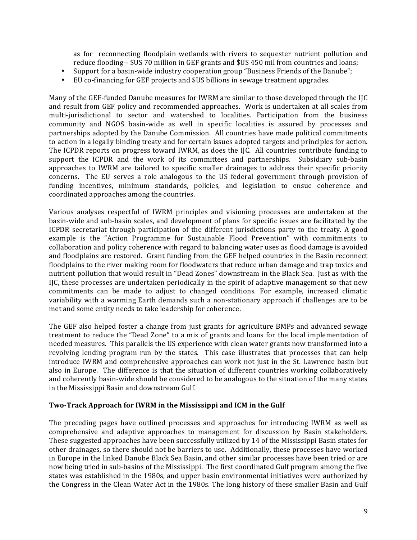as for reconnecting floodplain wetlands with rivers to sequester nutrient pollution and reduce flooding-- \$US 70 million in GEF grants and \$US 450 mil from countries and loans;

- Support for a basin-wide industry cooperation group "Business Friends of the Danube";  $\bullet$
- EU co-financing for GEF projects and \$US billions in sewage treatment upgrades.

Many of the GEF-funded Danube measures for IWRM are similar to those developed through the IJC and result from GEF policy and recommended approaches. Work is undertaken at all scales from multi-jurisdictional to sector and watershed to localities. Participation from the business community and NGOS basin-wide as well in specific localities is assured by processes and partnerships adopted by the Danube Commission. All countries have made political commitments to action in a legally binding treaty and for certain issues adopted targets and principles for action. The ICPDR reports on progress toward IWRM, as does the IJC. All countries contribute funding to support the ICPDR and the work of its committees and partnerships. Subsidiary sub-basin approaches to IWRM are tailored to specific smaller drainages to address their specific priority concerns. The EU serves a role analogous to the US federal government through provision of funding incentives, minimum standards, policies, and legislation to ensue coherence and coordinated approaches among the countries.

Various analyses respectful of IWRM principles and visioning processes are undertaken at the basin-wide and sub-basin scales, and development of plans for specific issues are facilitated by the ICPDR secretariat through participation of the different jurisdictions party to the treaty. A good example is the "Action Programme for Sustainable Flood Prevention" with commitments to collaboration and policy coherence with regard to balancing water uses as flood damage is avoided and floodplains are restored. Grant funding from the GEF helped countries in the Basin reconnect floodplains to the river making room for floodwaters that reduce urban damage and trap toxics and nutrient pollution that would result in "Dead Zones" downstream in the Black Sea. Just as with the IJC, these processes are undertaken periodically in the spirit of adaptive management so that new commitments can be made to adjust to changed conditions. For example, increased climatic variability with a warming Earth demands such a non-stationary approach if challenges are to be met and some entity needs to take leadership for coherence.

The GEF also helped foster a change from just grants for agriculture BMPs and advanced sewage treatment to reduce the "Dead Zone" to a mix of grants and loans for the local implementation of needed measures. This parallels the US experience with clean water grants now transformed into a revolving lending program run by the states. This case illustrates that processes that can help introduce IWRM and comprehensive approaches can work not just in the St. Lawrence basin but also in Europe. The difference is that the situation of different countries working collaboratively and coherently basin-wide should be considered to be analogous to the situation of the many states in the Mississippi Basin and downstream Gulf.

### Two-Track Approach for IWRM in the Mississippi and ICM in the Gulf

The preceding pages have outlined processes and approaches for introducing IWRM as well as comprehensive and adaptive approaches to management for discussion by Basin stakeholders. These suggested approaches have been successfully utilized by 14 of the Mississippi Basin states for other drainages, so there should not be barriers to use. Additionally, these processes have worked in Europe in the linked Danube Black Sea Basin, and other similar processes have been tried or are now being tried in sub-basins of the Mississippi. The first coordinated Gulf program among the five states was established in the 1980s, and upper basin environmental initiatives were authorized by the Congress in the Clean Water Act in the 1980s. The long history of these smaller Basin and Gulf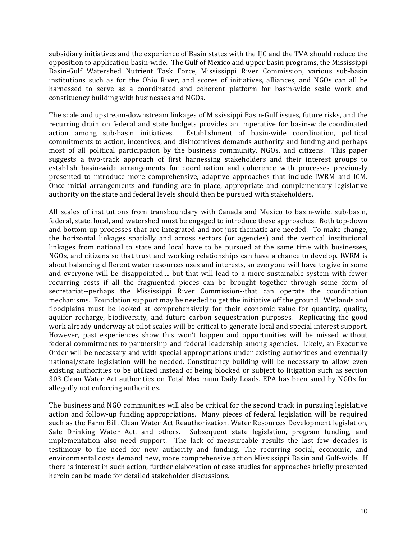subsidiary initiatives and the experience of Basin states with the IJC and the TVA should reduce the opposition to application basin-wide. The Gulf of Mexico and upper basin programs, the Mississippi Basin-Gulf Watershed Nutrient Task Force, Mississippi River Commission, various sub-basin institutions such as for the Ohio River, and scores of initiatives, alliances, and NGOs can all be harnessed to serve as a coordinated and coherent platform for basin-wide scale work and constituency building with businesses and NGOs.

The scale and upstream-downstream linkages of Mississippi Basin-Gulf issues, future risks, and the recurring drain on federal and state budgets provides an imperative for basin-wide coordinated action among sub-basin initiatives. Establishment of basin-wide coordination, political commitments to action, incentives, and disincentives demands authority and funding and perhaps most of all political participation by the business community, NGOs, and citizens. This paper suggests a two-track approach of first harnessing stakeholders and their interest groups to establish basin-wide arrangements for coordination and coherence with processes previously presented to introduce more comprehensive, adaptive approaches that include IWRM and ICM. Once initial arrangements and funding are in place, appropriate and complementary legislative authority on the state and federal levels should then be pursued with stakeholders.

All scales of institutions from transboundary with Canada and Mexico to basin-wide, sub-basin, federal, state, local, and watershed must be engaged to introduce these approaches. Both top-down and bottom-up processes that are integrated and not just thematic are needed. To make change, the horizontal linkages spatially and across sectors (or agencies) and the vertical institutional linkages from national to state and local have to be pursued at the same time with businesses, NGOs, and citizens so that trust and working relationships can have a chance to develop. IWRM is about balancing different water resources uses and interests, so everyone will have to give in some and everyone will be disappointed.... but that will lead to a more sustainable system with fewer recurring costs if all the fragmented pieces can be brought together through some form of secretariat--perhaps the Mississippi River Commission--that can operate the coordination mechanisms. Foundation support may be needed to get the initiative off the ground. Wetlands and floodplains must be looked at comprehensively for their economic value for quantity, quality, aquifer recharge, biodiversity, and future carbon sequestration purposes. Replicating the good work already underway at pilot scales will be critical to generate local and special interest support. However, past experiences show this won't happen and opportunities will be missed without federal commitments to partnership and federal leadership among agencies. Likely, an Executive Order will be necessary and with special appropriations under existing authorities and eventually national/state legislation will be needed. Constituency building will be necessary to allow even existing authorities to be utilized instead of being blocked or subject to litigation such as section 303 Clean Water Act authorities on Total Maximum Daily Loads. EPA has been sued by NGOs for allegedly not enforcing authorities.

The business and NGO communities will also be critical for the second track in pursuing legislative action and follow-up funding appropriations. Many pieces of federal legislation will be required such as the Farm Bill, Clean Water Act Reauthorization, Water Resources Development legislation, Safe Drinking Water Act, and others. Subsequent state legislation, program funding, and implementation also need support. The lack of measureable results the last few decades is testimony to the need for new authority and funding. The recurring social, economic, and environmental costs demand new, more comprehensive action Mississippi Basin and Gulf-wide. If there is interest in such action, further elaboration of case studies for approaches briefly presented herein can be made for detailed stakeholder discussions.